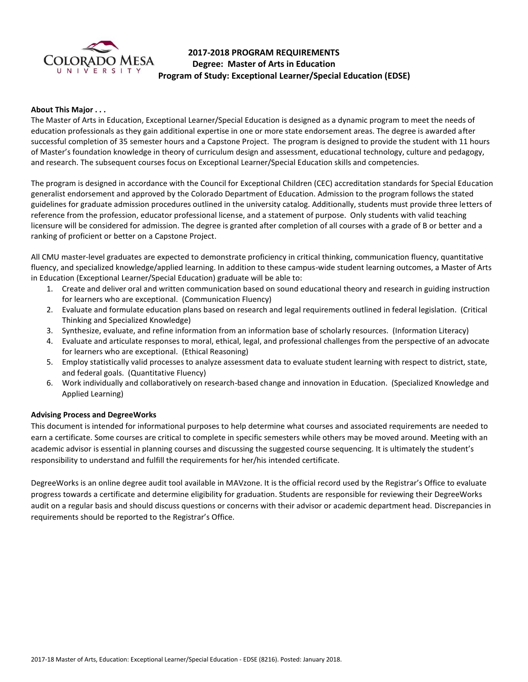

# **2017-2018 PROGRAM REQUIREMENTS Degree: Master of Arts in Education Program of Study: Exceptional Learner/Special Education (EDSE)**

## **About This Major . . .**

The Master of Arts in Education, Exceptional Learner/Special Education is designed as a dynamic program to meet the needs of education professionals as they gain additional expertise in one or more state endorsement areas. The degree is awarded after successful completion of 35 semester hours and a Capstone Project. The program is designed to provide the student with 11 hours of Master's foundation knowledge in theory of curriculum design and assessment, educational technology, culture and pedagogy, and research. The subsequent courses focus on Exceptional Learner/Special Education skills and competencies.

The program is designed in accordance with the Council for Exceptional Children (CEC) accreditation standards for Special Education generalist endorsement and approved by the Colorado Department of Education. Admission to the program follows the stated guidelines for graduate admission procedures outlined in the university catalog. Additionally, students must provide three letters of reference from the profession, educator professional license, and a statement of purpose. Only students with valid teaching licensure will be considered for admission. The degree is granted after completion of all courses with a grade of B or better and a ranking of proficient or better on a Capstone Project.

All CMU master-level graduates are expected to demonstrate proficiency in critical thinking, communication fluency, quantitative fluency, and specialized knowledge/applied learning. In addition to these campus-wide student learning outcomes, a Master of Arts in Education (Exceptional Learner/Special Education) graduate will be able to:

- 1. Create and deliver oral and written communication based on sound educational theory and research in guiding instruction for learners who are exceptional. (Communication Fluency)
- 2. Evaluate and formulate education plans based on research and legal requirements outlined in federal legislation. (Critical Thinking and Specialized Knowledge)
- 3. Synthesize, evaluate, and refine information from an information base of scholarly resources. (Information Literacy)
- 4. Evaluate and articulate responses to moral, ethical, legal, and professional challenges from the perspective of an advocate for learners who are exceptional. (Ethical Reasoning)
- 5. Employ statistically valid processes to analyze assessment data to evaluate student learning with respect to district, state, and federal goals. (Quantitative Fluency)
- 6. Work individually and collaboratively on research-based change and innovation in Education. (Specialized Knowledge and Applied Learning)

### **Advising Process and DegreeWorks**

This document is intended for informational purposes to help determine what courses and associated requirements are needed to earn a certificate. Some courses are critical to complete in specific semesters while others may be moved around. Meeting with an academic advisor is essential in planning courses and discussing the suggested course sequencing. It is ultimately the student's responsibility to understand and fulfill the requirements for her/his intended certificate.

DegreeWorks is an online degree audit tool available in MAVzone. It is the official record used by the Registrar's Office to evaluate progress towards a certificate and determine eligibility for graduation. Students are responsible for reviewing their DegreeWorks audit on a regular basis and should discuss questions or concerns with their advisor or academic department head. Discrepancies in requirements should be reported to the Registrar's Office.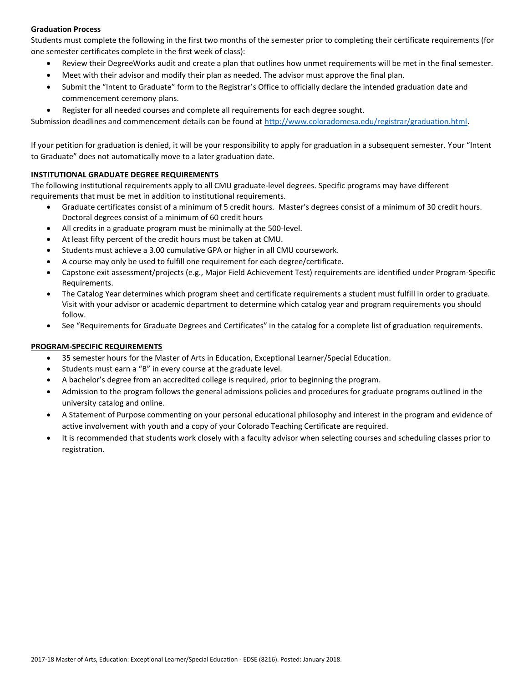# **Graduation Process**

Students must complete the following in the first two months of the semester prior to completing their certificate requirements (for one semester certificates complete in the first week of class):

- Review their DegreeWorks audit and create a plan that outlines how unmet requirements will be met in the final semester.
- Meet with their advisor and modify their plan as needed. The advisor must approve the final plan.
- Submit the "Intent to Graduate" form to the Registrar's Office to officially declare the intended graduation date and commencement ceremony plans.
- Register for all needed courses and complete all requirements for each degree sought.

Submission deadlines and commencement details can be found at [http://www.coloradomesa.edu/registrar/graduation.html.](http://www.coloradomesa.edu/registrar/graduation.html)

If your petition for graduation is denied, it will be your responsibility to apply for graduation in a subsequent semester. Your "Intent to Graduate" does not automatically move to a later graduation date.

## **INSTITUTIONAL GRADUATE DEGREE REQUIREMENTS**

The following institutional requirements apply to all CMU graduate-level degrees. Specific programs may have different requirements that must be met in addition to institutional requirements.

- Graduate certificates consist of a minimum of 5 credit hours. Master's degrees consist of a minimum of 30 credit hours. Doctoral degrees consist of a minimum of 60 credit hours
- All credits in a graduate program must be minimally at the 500-level.
- At least fifty percent of the credit hours must be taken at CMU.
- Students must achieve a 3.00 cumulative GPA or higher in all CMU coursework.
- A course may only be used to fulfill one requirement for each degree/certificate.
- Capstone exit assessment/projects (e.g., Major Field Achievement Test) requirements are identified under Program-Specific Requirements.
- The Catalog Year determines which program sheet and certificate requirements a student must fulfill in order to graduate. Visit with your advisor or academic department to determine which catalog year and program requirements you should follow.
- See "Requirements for Graduate Degrees and Certificates" in the catalog for a complete list of graduation requirements.

# **PROGRAM-SPECIFIC REQUIREMENTS**

- 35 semester hours for the Master of Arts in Education, Exceptional Learner/Special Education.
- Students must earn a "B" in every course at the graduate level.
- A bachelor's degree from an accredited college is required, prior to beginning the program.
- Admission to the program follows the general admissions policies and procedures for graduate programs outlined in the university catalog and online.
- A Statement of Purpose commenting on your personal educational philosophy and interest in the program and evidence of active involvement with youth and a copy of your Colorado Teaching Certificate are required.
- It is recommended that students work closely with a faculty advisor when selecting courses and scheduling classes prior to registration.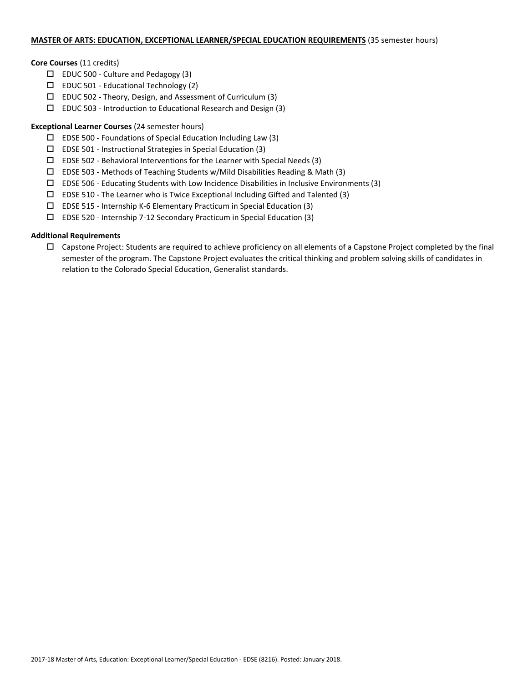## **MASTER OF ARTS: EDUCATION, EXCEPTIONAL LEARNER/SPECIAL EDUCATION REQUIREMENTS** (35 semester hours)

## **Core Courses** (11 credits)

- $\Box$  EDUC 500 Culture and Pedagogy (3)
- $\square$  EDUC 501 Educational Technology (2)
- $\Box$  EDUC 502 Theory, Design, and Assessment of Curriculum (3)
- $\square$  EDUC 503 Introduction to Educational Research and Design (3)

# **Exceptional Learner Courses** (24 semester hours)

- $\square$  EDSE 500 Foundations of Special Education Including Law (3)
- $\square$  EDSE 501 Instructional Strategies in Special Education (3)
- $\square$  EDSE 502 Behavioral Interventions for the Learner with Special Needs (3)
- $\Box$  EDSE 503 Methods of Teaching Students w/Mild Disabilities Reading & Math (3)
- $\square$  EDSE 506 Educating Students with Low Incidence Disabilities in Inclusive Environments (3)
- $\square$  EDSE 510 The Learner who is Twice Exceptional Including Gifted and Talented (3)
- EDSE 515 Internship K-6 Elementary Practicum in Special Education (3)
- EDSE 520 Internship 7-12 Secondary Practicum in Special Education (3)

# **Additional Requirements**

 $\Box$  Capstone Project: Students are required to achieve proficiency on all elements of a Capstone Project completed by the final semester of the program. The Capstone Project evaluates the critical thinking and problem solving skills of candidates in relation to the Colorado Special Education, Generalist standards.